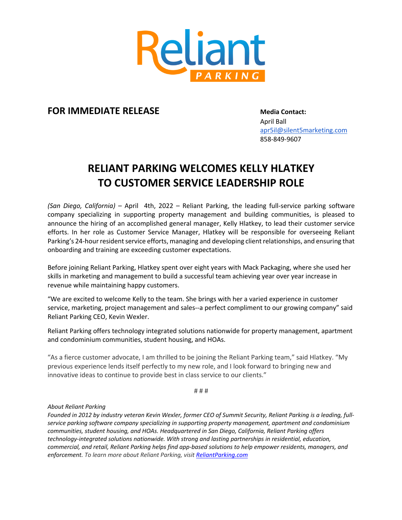

## **FOR IMMEDIATE RELEASE Media Contact:**

April Ball apr5il@silent5marketing.com 858-849-9607

## **RELIANT PARKING WELCOMES KELLY HLATKEY TO CUSTOMER SERVICE LEADERSHIP ROLE**

*(San Diego, California)* – April 4th, 2022 – Reliant Parking, the leading full-service parking software company specializing in supporting property management and building communities, is pleased to announce the hiring of an accomplished general manager, Kelly Hlatkey, to lead their customer service efforts. In her role as Customer Service Manager, Hlatkey will be responsible for overseeing Reliant Parking's 24-hour resident service efforts, managing and developing client relationships, and ensuring that onboarding and training are exceeding customer expectations.

Before joining Reliant Parking, Hlatkey spent over eight years with Mack Packaging, where she used her skills in marketing and management to build a successful team achieving year over year increase in revenue while maintaining happy customers.

"We are excited to welcome Kelly to the team. She brings with her a varied experience in customer service, marketing, project management and sales--a perfect compliment to our growing company" said Reliant Parking CEO, Kevin Wexler.

Reliant Parking offers technology integrated solutions nationwide for property management, apartment and condominium communities, student housing, and HOAs.

"As a fierce customer advocate, I am thrilled to be joining the Reliant Parking team," said Hlatkey. "My previous experience lends itself perfectly to my new role, and I look forward to bringing new and innovative ideas to continue to provide best in class service to our clients."

# # #

## *About Reliant Parking*

*Founded in 2012 by industry veteran Kevin Wexler, former CEO of Summit Security, Reliant Parking is a leading, fullservice parking software company specializing in supporting property management, apartment and condominium communities, student housing, and HOAs. Headquartered in San Diego, California, Reliant Parking offers technology-integrated solutions nationwide. With strong and lasting partnerships in residential, education, commercial, and retail, Reliant Parking helps find app-based solutions to help empower residents, managers, and enforcement. To learn more about Reliant Parking, visit ReliantParking.com*